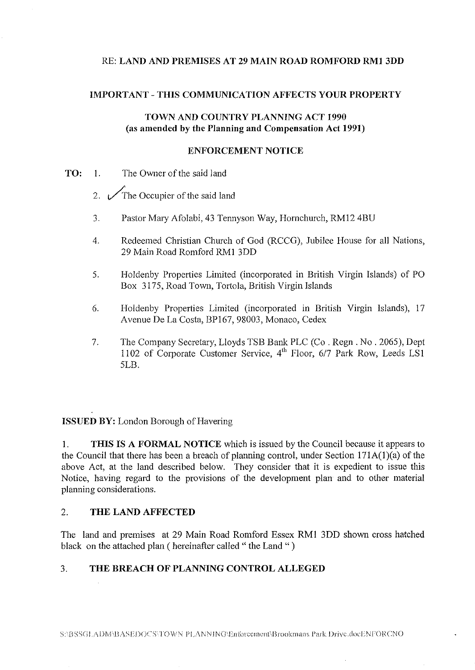## RE: **LAND AND PREMISES AT 29 MAIN ROAD ROMFORD RMl 3DD**

### **IMPORTANT-THIS COMMUNICATION AFFECTS YOUR PROPERTY**

# **TOWN AND COUNTRY PLANNING ACT 1990** (as **amended by the Planning and Compensation Act 1991)**

#### **ENFORCEMENT NOTICE**

- **TO:** 1. The Owner of the said land
	- 2.  $\sqrt{\ }$ The Occupier of the said land
	- 3. Pastor Mary Afolabi, 43 Tennyson Way, Hornchurch, RM12 4BU
	- 4. Redeemed Christian Church of God (RCCG), Jubilee House for all Nations, 29 Main Road Romford RMI 3DD
	- 5. Holdenby Properties Limited (incorporated in British Virgin Islands) of PO Box 3175, Road Town, Tortola, British Virgin Islands
	- 6. Holdenby Properties Limited (incorporated in British Virgin Islands), 17 Avenue De La Costa, BP167, 98003, Monaco, Cedex
	- 7. The Company Secretary, Lloyds TSB Bank PLC (Co . Regn. No . 2065), Dept 1102 of Corporate Customer Service, 4<sup>th</sup> Floor, 6/7 Park Row, Leeds LS1 5LB.

# **ISSUED BY:** London Borough of Havering

**I. THIS IS A FORMAL NOTICE** which is issued by the Council because it appears to the Council that there has been a breach of planning control, under Section 171A(l)(a) of the above Act, at the land described below. They consider that it is expedient to issue this Notice, having regard to the provisions of the development plan and to other material planning considerations.

### 2. **THE LAND AFFECTED**

The land and premises at 29 Main Road Romford Essex RMI 3DD shown cross hatched black on the attached plan (hereinafter called " the Land ")

# 3. **THE BREACH OF PLANNING CONTROL ALLEGED**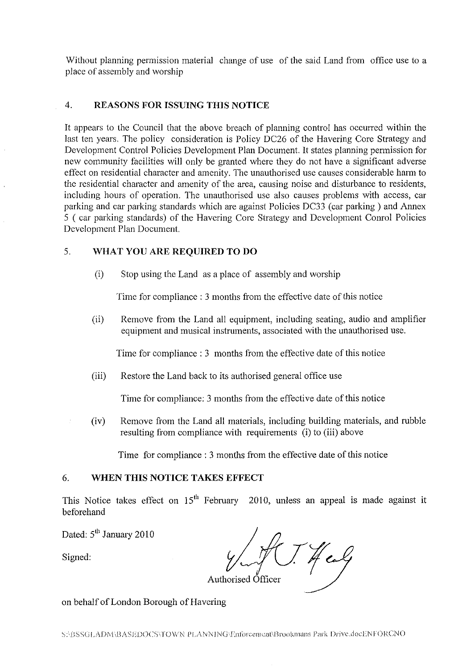Without planning permission material change of use of the said Land from office use to a place of assembly and worship

### 4. **REASONS FOR ISSUING THIS NOTICE**

It appears to the Council that the above breach of planning control has occurred within the last ten years. The policy consideration is Policy DC26 of the Havering Core Strategy and Development Control Policies Development Plan Document. It states planning permission for new community facilities will only be granted where they do not have a significant adverse effect on residential character and amenity. The unauthorised use causes considerable harm to the residential character and amenity of the area, causing noise and disturbance to residents, including hours of operation. The unauthorised use also causes problems with access, car parking and car parking standards which are against Policies DC33 (car parking) and Annex 5 ( car parking standards) of the Havering Core Strategy and Development Conrol Policies Development Plan Document.

## 5. **WHAT YOU ARE REQUIRED TO DO**

(i) Stop using the Land as a place of assembly and worship

Time for compliance : 3 months from the effective date of this notice

(ii) Remove from the Land all equipment, including seating, audio and amplifier equipment and musical instruments, associated with the unauthorised use.

Time for compliance : 3 months from the effective date of this notice

(iii) Restore the Land back to its authorised general office use

Time for compliance: 3 months from the effective date of this notice

(iv) Remove from the Land all materials, including building materials, and rubble resulting from compliance with requirements (i) to (iii) above

Time for compliance : 3 months from the effective date of this notice

## 6. **WHEN THIS NOTICE TAKES EFFECT**

This Notice takes effect on  $15<sup>th</sup>$  February 2010, unless an appeal is made against it beforehand

Dated: 5<sup>th</sup> January 2010

Dated: 5 January 2010<br>Signed:  $\frac{1}{2}$ <br>Authorised Officer  $\sqrt{\frac{1}{1}}$  Authorised Officer

on behalf of London Borough of Havering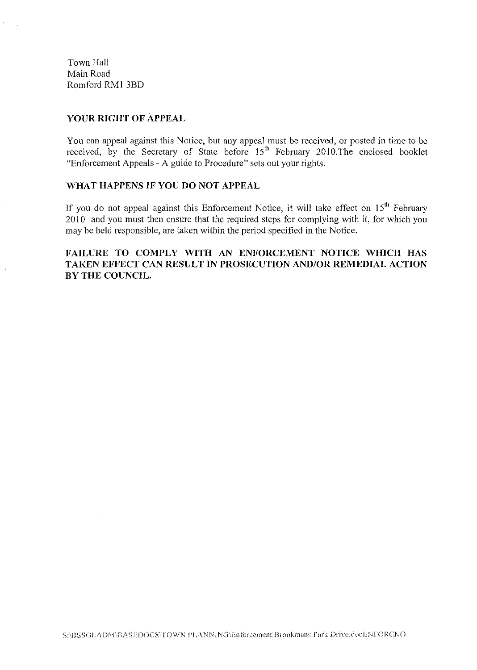Town Hall Main Road Romford RMI 3BD

#### YOUR RIGHT OF APPEAL

You can appeal against this Notice, but any appeal must be received, or posted in time to be received, by the Secretary of State before 15<sup>th</sup> February 2010. The enclosed booklet "Enforcement Appeals - A guide to Procedure" sets out your rights.

### WHAT HAPPENS IF YOU DO NOT APPEAL

If you do not appeal against this Enforcement Notice, it will take effect on  $15<sup>th</sup>$  February 2010 and you must then ensure that the required steps for complying with it, for which you may be held responsible, are taken within the period specified in the Notice.

# FAILURE TO COMPLY WITH AN ENFORCEMENT NOTICE WHICH HAS TAKEN EFFECT CAN RESULT IN PROSECUTION AND/OR REMEDIAL ACTION BY THE COUNCIL.